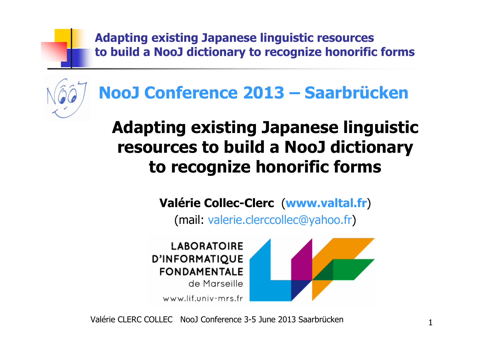

# **NooJ Conference 2013 – Saarbrücken**

# **Adapting existing Japanese linguistic resources to build a NooJ dictionary to recognize honorific forms**

## **Valérie Collec-Clerc**(**www.valtal.fr**)

(mail: valerie.clerccollec@yahoo.fr)

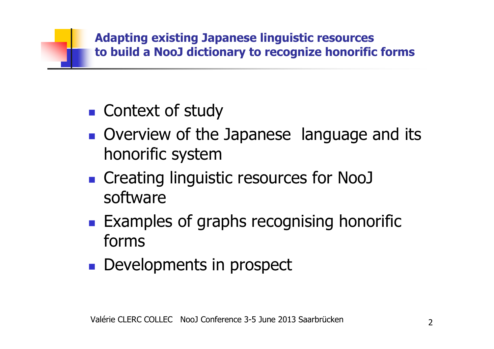

- $\mathbb{R}^n$ ■ Context of study
- $\mathbb{R}^n$ **Overview of the Japanese language and its** honorific system
- $\blacksquare$  Creating lingui **• Creating linguistic resources for NooJ** software
- $\mathbb{R}^n$ **Examples of graphs recognising honorific** forms
- $\mathbb{R}^2$ **Developments in prospect**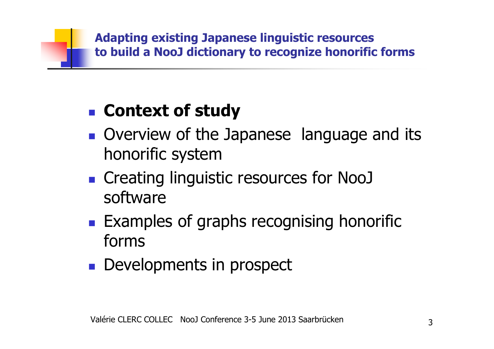### $\mathbb{R}^n$ **Context of study**

- $\mathbb{R}^n$ **Overview of the Japanese language and its** honorific system
- $\blacksquare$  Creating lingui **• Creating linguistic resources for NooJ** software
- $\mathbb{R}^n$ **Examples of graphs recognising honorific** forms
- $\mathbb{R}^2$ **Developments in prospect**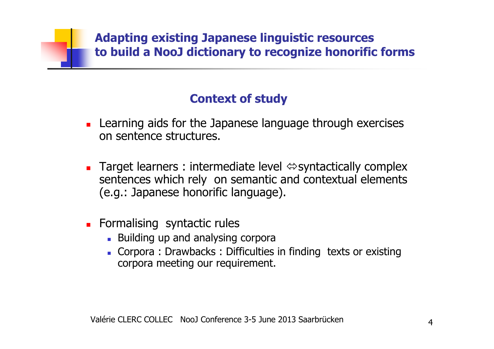### **Context of study**

- П **Learning aids for the Japanese language through exercises** on sentence structures.
- П **Target learners : intermediate level**  $\Leftrightarrow$  **syntactically complex**  sentences which rely on semantic and contextual elements (e.g.: Japanese honorific language).
- L. **Formalising syntactic rules** 
	- **Building up and analysing corpora**
	- Corpora : Drawbacks : Difficulties in finding texts or existingcorpora meeting our requirement.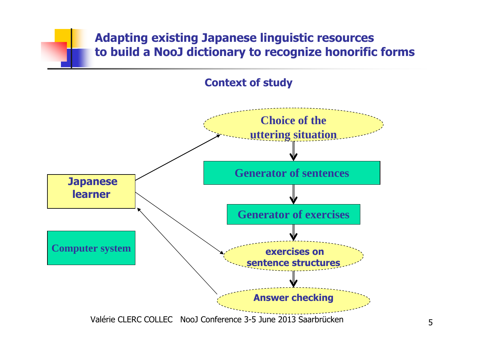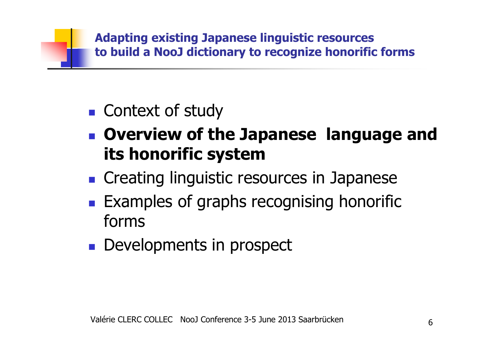

### $\mathbb{R}^n$ ■ Context of study

- $\mathbb{R}^n$  **Overview of the Japanese language and its honorific system**
- n Creating Iinguistic re **n** Creating linguistic resources in Japanese
- $\mathbb{R}^n$ **Examples of graphs recognising honorific** forms
- $\mathbb{R}^n$ **Developments in prospect**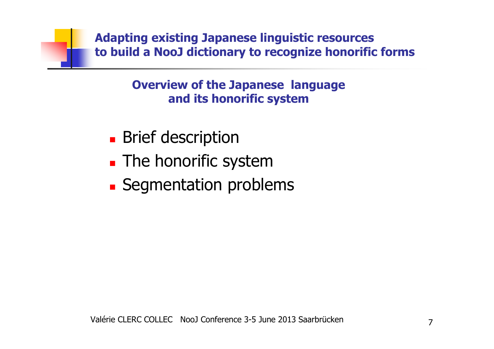> **Overview of the Japanese language and its honorific system**

- $\blacksquare$ **Brief description**
- $\blacksquare$ **The honorific system**
- Seamentation prob **Example 13 Segmentation problems**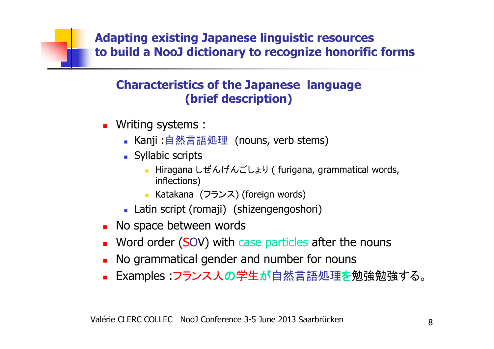### **Characteristics of the Japanese language (brief description)**

- Writing systems :
	- Kanji :自然言語処理(nouns, verb stems)<br>Cyllabie serinte
	- **Syllabic scripts** 
		- Hiragana しぜんげんごしょり (furigana, grammatical words, inflections)
		- Katakana (フランス) (foreign words)<br>tis seriet (seresii) (shinaseseseasels
	- Latin script (romaji) (shizengengoshori)
- **No space between words**
- **Nord order (SOV) with case particles after the nouns**
- П **No grammatical gender and number for nouns**
- Examples :フランス人の学生が自然言語処理を勉強勉強する。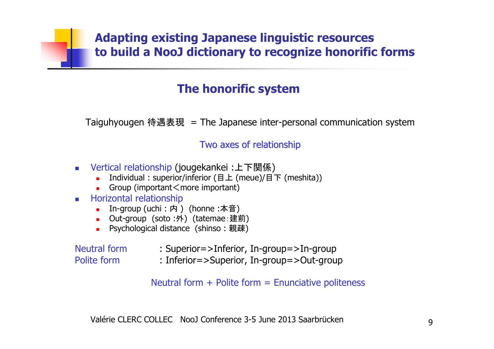### **The honorific system**

Taiguhyougen 待遇表現 = The Japanese inter-personal communication system

### Two axes of relationship

- $\overline{\phantom{a}}$ ■ Vertical relationship (jougekankei :上下関係)<br>【Individual : superior/inferior (日上 (meue)/日
	- Individual : superior/inferior (目上 (meue)/目下 (meshita))<br>■ Group (important<more important) ٠
	- r. Group (important $\leq$ more important)
- $\mathbf{r}$  Horizontal relationship
	- In-group (uchi:内) (honne :本音)<br>■ Out-groun(soto ·外)(tatemae 建i
	- Out-group (soto :外) (tatemae :建前)<br>■ Psychological distance(shinso : 親碑)
	- Psychological distance (shinso : 親疎)

Neutral formPolite form

- : Superior=>Inferior, In-group=>In-group
- : Inferior=>Superior, In-group=>Out-group

Neutral form  $+$  Polite form  $=$  Enunciative politeness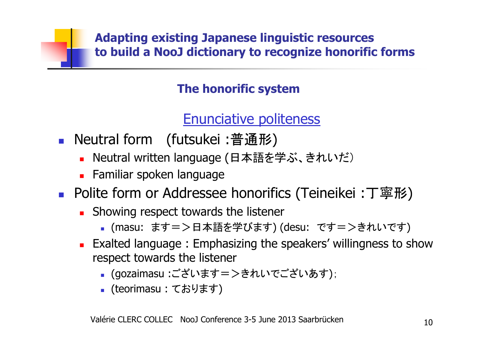### **The honorific system**

## Enunciative politeness

- F ■ Neutral form (futsukei :普通形)<br>- Neutral written language (日本語を登
	- L. ■ Neutral written language (日本語を学ぶ、きれいだ)
	- Familiar spoken language
- F ■ Polite form or Addressee honorifics (Teineikei :丁寧形)
	- П **Showing respect towards the listener** 
		- (masu: ます=>日本語を学びます) (desu: です=>きれいです)
	- $\blacksquare$  Exalted language : Emphasizing the speakers' willingness t **Exalted language : Emphasizing the speakers' willingness to show**<br>respect towards the listener respect towards the listener
		- (gozaimasu :ございます=>きれいでございあす );
		- (teorimasu : ております)<br>-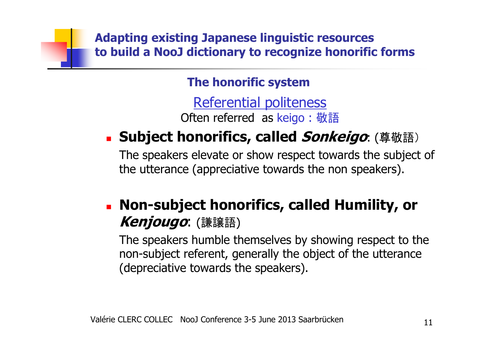**The honorific system**

Referential politeness

Often referred as keigo : 敬語

### × **Subject honorifics, called Sonkeigo**: (尊敬語)

The speakers elevate or show respect towards the subject of the utterance (appreciative towards the non speakers).

### × **Non-subject honorifics, called Humility, or Kenjougo**: (謙譲語)

The speakers humble themselves by showing respect to the non-subject referent, generally the object of the utterance (depreciative towards the speakers).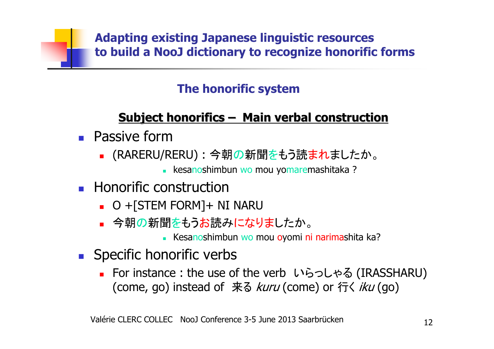## **The honorific system**

# **Subject honorifics– Main verbal construction**

- П **Passive form** 
	- ▔ ■ (RARERU/RERU) : 今朝の新聞をもう読まれましたか。
		- kesanoshimbun wo mou yomaremashitaka ?<br>.
- П **Honorific construction** 
	- ▔ O +[STEM FORM]+ NI NARU
	- ▔ <mark>■ 今朝の新聞をもうお読みになりまし</mark>たか。
		- Kesanoshimbun wo mou oyomi ni narimashita ka?
- **Specific honorific verbs** 
	- ▔ ■ For instance : the use of the verb いらっしゃる (IRASSHARU)<br>(como\_go) instoad of ヰる kuru(como) or 行/ iku(go) (come, go) instead of 来る *kuru* (come) or 行く *iku* (go)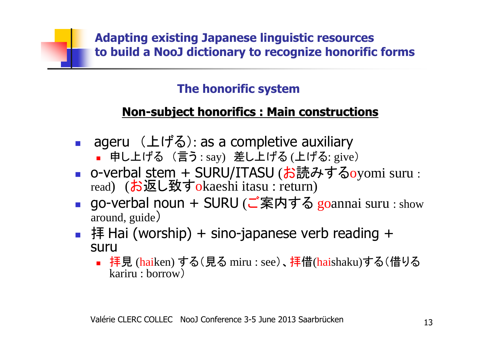### **The honorific system**

# **Non-subject honorifics : Main constructions**

- П ■ ageru (上げる): as a completive auxiliary
	- ٠ ■ 申し上げる (言う:say) 差し上げる(上げる:give)<br>、verhel.cterre.: CUDU/TTACU (+sē# マ; ++ ア
- П ■ o-verbal stem + SURU/ITASU (お読みするoyomi suru : read) (お返し致すokaeshi itasu : return)
- ∎ uo-verbar hour ■ go-verbal noun + SURU (ご案内する goannai suru : show<br>around\_guide) around, guide)
- 拝 Hai (worship) + sino-japanese verb reading +<br>suru suru
	- 拝見 (<mark>hai</mark>ken)する(見る miru : see)、<mark>拝</mark>借(haishaku)する(借りる<br>- kariru : borrow) kariru : borrow)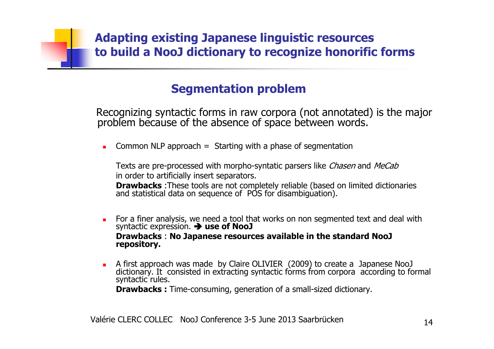### **Segmentation problem**

Recognizing syntactic forms in raw corpora (not annotated) is the major problem because of the absence of space between words.

 $\blacksquare$ Common NLP approach  $=$  Starting with a phase of segmentation

Texts are pre-processed with morpho-syntatic parsers like *Chasen* and *MeCab* in order to artificially insert separators.

**Drawbacks** :These tools are not completely reliable (based on limited dictionaries<br>and statistical data on sequence of POS for disambiguation).

- $\mathbf{r}$  For a finer analysis, we need a tool that works on non segmented text and deal with syntactic expression. **use of NooJ Drawbacks** : **No Japanese resources available in the standard NooJrepository.**
- $\blacksquare$ A first approach was made by Claire OLIVIER (2009) to create a Japanese NooJ<br>dictionary. It consisted in extracting syntactic forms from corpora according to formal<br>syntactic rules.

**Drawbacks :** Time-consuming, generation of a small-sized dictionary.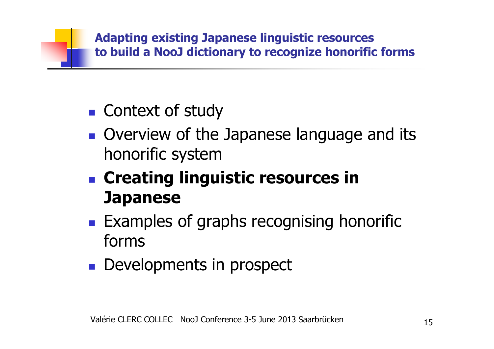

- $\mathbb{R}^n$ ■ Context of study
- $\mathbb{R}^n$ **Overview of the Japanese language and its** honorific system
- **. Creating ling Creating linguistic resources in Japanese**
- $\mathbb{R}^n$ **Examples of graphs recognising honorific** forms
- $\mathbb{R}^2$ **Developments in prospect**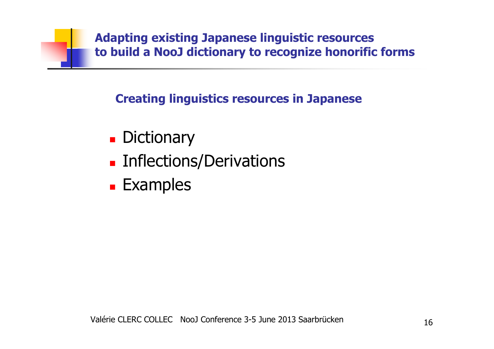

**Creating linguistics resources in Japanese**

- $\blacksquare$ **Dictionary**
- $\blacksquare$ **Exercical Entirections**
- × **Examples**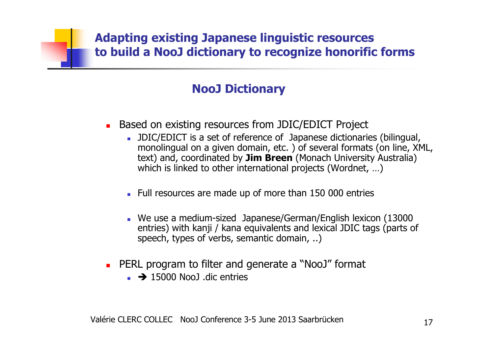### **NooJ Dictionary**

- Based on existing resources from JDIC/EDICT Project
	- JDIC/EDICT is a set of reference of Japanese dictionaries (bilingual, monolingual on a given domain, etc. ) of several formats (on line, XML, text) and, coordinated by **Jim Breen** (Monach University Australia) which is linked to other international projects (Wordnet, …)
	- Full resources are made up of more than 150 000 entries
	- We use a medium-sized Japanese/German/English lexicon (13000 entries) with kanji / kana equivalents and lexical JDIC tags (parts of speech, types of verbs, semantic domain, ..)
- **PERL program to filter and generate a "NooJ" format**<br>**EXECUTE:**  $\rightarrow$  15000 NooJ dic entries
	- $\rightarrow$  15000 NooJ .dic entries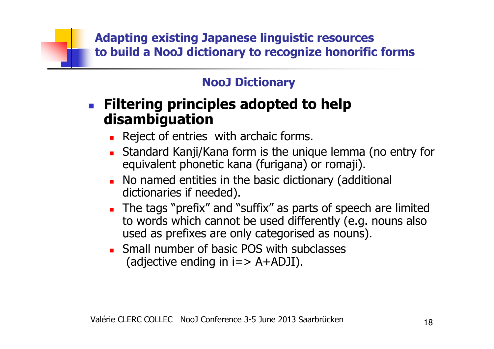### **NooJ Dictionary**

- F **Filtering principles adopted to help disambiguation**
	- $\blacksquare$  Reject of entries Reject of entries with archaic forms.
	- П **Standard Kanji/Kana form is the unique lemma (no entry for** equivalent phonetic kana (furigana) or romaji).
	- П **No named entities in the basic dictionary (additional** dictionaries if needed).
	- П The tags "prefix" and "suffix" as parts of speech are limited<br>to words which cannot be used differently (e.g. nouns also to words which cannot be used differently (e.g. nouns also used as prefixes are only categorised as nouns).
	- П **Small number of basic POS with subclasses** (adjective ending in  $i = > A + ADJI$ ).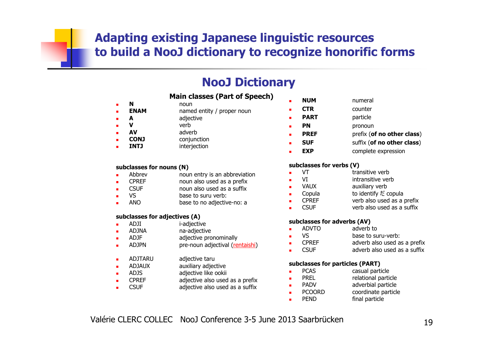### **NooJ Dictionary**

### **Main classes (Part of Speech)**

named entity / proper noun

#### **<sup>N</sup>**n noun<br>Enland some **ENAM**

П

П

П

П

П

П

П

П

П

П

- **<sup>A</sup>**
- adjective<br>verb **<sup>V</sup>v** verb **AV** adverb
	- **CONJ**conjunction
- 
- **J** interjection **INTJ**

### **subclasses for nouns (N)**

- Abbrev noun entry is an abbreviation<br>And the noun also used as a prefix П
- П CPREF noun also used as a prefix<br>CSUF noun also used as a suffix
- П CSUF noun also used as a suffix<br>VS base to suru verb:
- П VS base to suru verb:<br>ANO base to no adjective
- П base to no adjective-no: a

### **subclasses for adjectives (A)**

- ADJI i-adjective П
- П ADJNA na-adjective<br>ADJF adiective pro
- П ADJF adjective pronominally<br>ADJPN pre-noun adiectival (re
- П pre-noun adjectival (rentaishi)
- ADJTARU adjective taru<br>ADJAUX auxiliary adiec
- ADJAUX auxiliary adjective<br>ADJS adjective like ookii
- П ADJS adjective like ookii<br>CPREF adiective also used
- CPREF adjective also used as a prefix<br>CSUF contractive also used as a suffix
- adjective also used as a suffix

■ **NUM**numeral

П

П

П

ш

П

П

п

п

п

- **CTR**counter
- **PART** particle
	- **PN**pronoun
	- **PREF**prefix (**of no other class**)
- **SUF**suffix (**of no other class**)
- **EXP**complete expression

### **subclasses for verbs (V)**

- **v** VT transitive verb **transitive**<br>NT transitive verb **v** 
	- VI intransitive verb<br>VAUX auxiliary verb
	- VAUX auxiliary verb<br>Copula to identify  $\ddot{\epsilon}$
- Copula to identify だ copula<br>■ CPREE the verbialso used as a
- CPREF verb also used as a prefix<br>CSUF verb also used as a suffix
- verb also used as a suffix

### **subclasses for adverbs (AV)**

- adverb to ш ADVTO adverb to
- **No.** Wase to suru-verb:<br>No. 2006 **PREF to a set of also used a**
- CPREF adverb also used as a prefix<br>CSUF adverb also used as a suffix
- adverb also used as a suffix

### **subclasses for particles (PART)**

- **PCAS** casual particle<br>PREL relational partic п
- п PREL relational particle<br>PADV adverbial particle
	- PADV adverbial particle<br>PCOORD coordinate particl
		- PCOORD coordinate particle<br>PEND final particle final particle
- п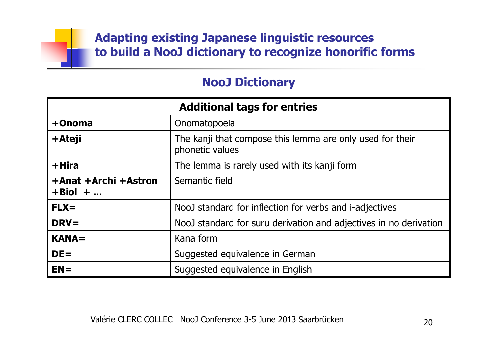### **NooJ Dictionary**

| <b>Additional tags for entries</b>  |                                                                              |  |  |
|-------------------------------------|------------------------------------------------------------------------------|--|--|
| +Onoma                              | Onomatopoeia                                                                 |  |  |
| +Ateji                              | The kanji that compose this lemma are only used for their<br>phonetic values |  |  |
| +Hira                               | The lemma is rarely used with its kanji form                                 |  |  |
| +Anat +Archi +Astron<br>$+ Biol + $ | Semantic field                                                               |  |  |
| $FLX =$                             | NooJ standard for inflection for verbs and i-adjectives                      |  |  |
| $DRV =$                             | NooJ standard for suru derivation and adjectives in no derivation            |  |  |
| $KANA =$                            | Kana form                                                                    |  |  |
| $DE =$                              | Suggested equivalence in German                                              |  |  |
| $EN =$                              | Suggested equivalence in English                                             |  |  |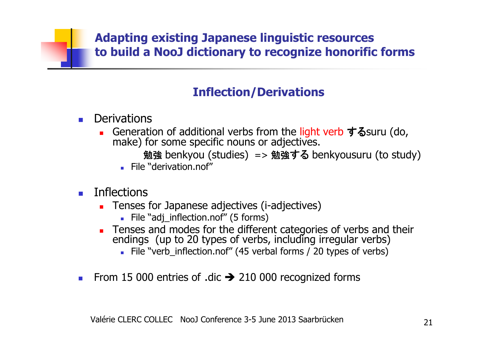### **Inflection/Derivations**

- **Derivations** 
	- □ ■ Generation of additional verbs from the light verb するsuru (do, make) for some specific nouns or adjectives.

```
勉強 benkyou (studies) => 勉強する benkyousuru (to study)<br>' "derivation.nof"
```
- **File "derivation.nof"**
- $\blacksquare$  Inflections
	- **Tenses for Japanese adjectives (i-adjectives)** 
		- File "adj\_inflection.nof" (5 forms)<br>anses and modes for the differe
	- Tenses and modes for the different categories of verbs and their endings (up to 20 types of verbs, including irregular verbs)
		- File "verb\_inflection.nof" (45 verbal forms / 20 types of verbs)
- ш From 15 000 entries of .dic  $\rightarrow$  210 000 recognized forms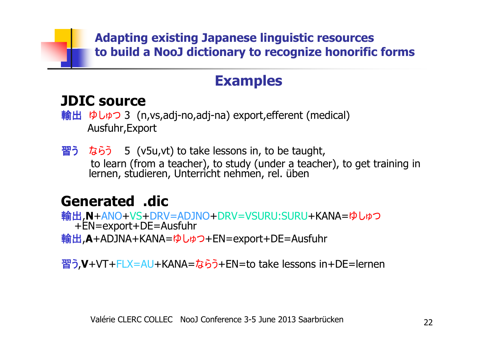## **Examples**

## **JDIC source**

**輸出 ゆしゅつ 3 (n,vs,adj-no,adj-na) export,efferent (medical)**<br>Ausfuhr Export Ausfuhr,Export

 $\overline{a}$  2 ならう 5 (v5u,vt) to take lessons in, to be taught, to learn (from a teacher), to study (under a teacher), to get training inlernen, studieren, Unterricht nehmen, rel. üben

## **Generated .dic**

 輸出,**N**+ANO+VS+DRV=ADJNO+DRV=VSURU:SURU+KANA=ゆしゅつ +EN=export+DE=Ausfuhr輸出,**A**+ADJNA+KANA=ゆしゅつ+EN=export+DE=Ausfuhr

習う,**V**+VT+FLX=AU+KANA=ならう+EN=to take lessons in+DE=lernen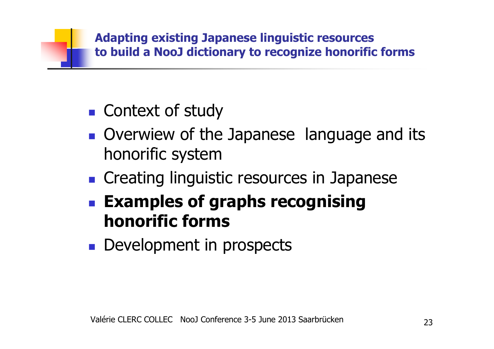

- $\mathbb{R}^n$ ■ Context of study
- $\mathbb{R}^n$ Overwiew of the Japanese language and its honorific system
- $\blacksquare$  Creating lingui **n** Creating linguistic resources in Japanese
- $\mathbb{R}^n$  **Examples of graphs recognising honorific forms**
- $\mathbb{R}^n$ **Development in prospects**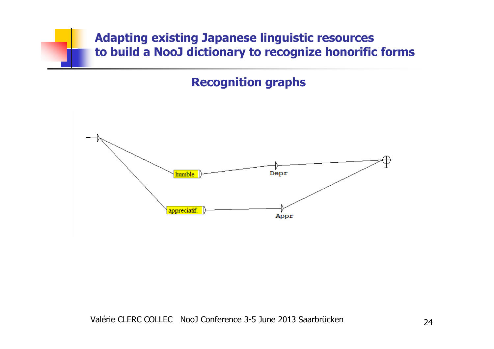**Recognition graphs**

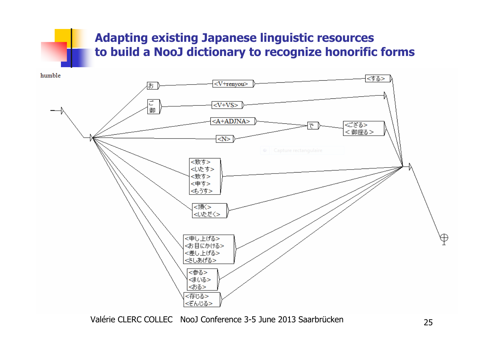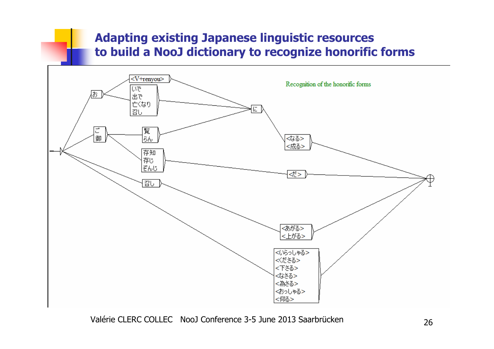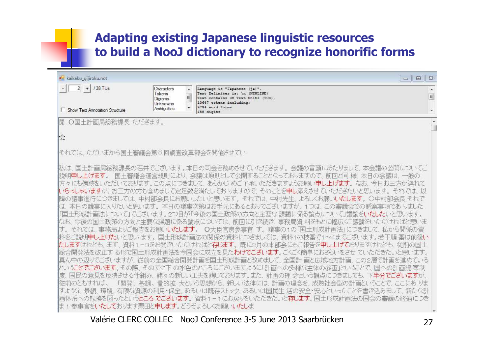| kaikaku_gijiroku.not                                                                                         |                                                                                              | 回<br>$\equiv$                                                                                                                                                                                                                                                                                                                                                                                                                                                                                                                                                                                                                                                                                                                                                                                                                                                                                                                                                                                                                                                                                                                                                                                                                                                                                                                 | $\Sigma$      |
|--------------------------------------------------------------------------------------------------------------|----------------------------------------------------------------------------------------------|-------------------------------------------------------------------------------------------------------------------------------------------------------------------------------------------------------------------------------------------------------------------------------------------------------------------------------------------------------------------------------------------------------------------------------------------------------------------------------------------------------------------------------------------------------------------------------------------------------------------------------------------------------------------------------------------------------------------------------------------------------------------------------------------------------------------------------------------------------------------------------------------------------------------------------------------------------------------------------------------------------------------------------------------------------------------------------------------------------------------------------------------------------------------------------------------------------------------------------------------------------------------------------------------------------------------------------|---------------|
| $\overline{2}$<br>/38 TUs<br>$+$                                                                             | Characters<br>$\lambda$<br>Tokens<br>$\mathbf{H}_{\mathrm{c}}$<br><b>Digrams</b><br>Unknowns | Language is "Japanese (ja)".<br>Text Delimiter is: \n (NEWLINE)<br>Text contains 38 Text Units (TUs).<br>10647 tokens including:                                                                                                                                                                                                                                                                                                                                                                                                                                                                                                                                                                                                                                                                                                                                                                                                                                                                                                                                                                                                                                                                                                                                                                                              | $\mathcal{A}$ |
| <b>F</b> Show Text Annotation Structure                                                                      | Ambiguities                                                                                  | 9734 word forms<br>158 digits                                                                                                                                                                                                                                                                                                                                                                                                                                                                                                                                                                                                                                                                                                                                                                                                                                                                                                                                                                                                                                                                                                                                                                                                                                                                                                 |               |
| O国土計画局総務課長 ただきます。<br>開                                                                                       |                                                                                              |                                                                                                                                                                                                                                                                                                                                                                                                                                                                                                                                                                                                                                                                                                                                                                                                                                                                                                                                                                                                                                                                                                                                                                                                                                                                                                                               | ×.            |
| 会                                                                                                            |                                                                                              |                                                                                                                                                                                                                                                                                                                                                                                                                                                                                                                                                                                                                                                                                                                                                                                                                                                                                                                                                                                                                                                                                                                                                                                                                                                                                                                               |               |
|                                                                                                              |                                                                                              |                                                                                                                                                                                                                                                                                                                                                                                                                                                                                                                                                                                                                                                                                                                                                                                                                                                                                                                                                                                                                                                                                                                                                                                                                                                                                                                               |               |
| それでは、ただいまから国土審議会第8回調査改革部会を開催させてい                                                                             |                                                                                              |                                                                                                                                                                                                                                                                                                                                                                                                                                                                                                                                                                                                                                                                                                                                                                                                                                                                                                                                                                                                                                                                                                                                                                                                                                                                                                                               |               |
| 説明申し上げます。<br>度<br> 従前のともすれば、<br>すような 景観<br>は 1 参事官を <b>いたして</b> おります栗田と <b>申します</b> 。どうぞよろしくお願いい <b>たし</b> ま |                                                                                              | 私は、国土計画局総務課長の石井でございます。本日の司会を務めさせていただきます。会議の冒頭にあたりまして、本会議の公開についてご<br>国土審議会運営規則により、会議は原則として公開することとなっておりますので、 前回と同 様、 本日の会議は、 一般の<br>方々にも傍聴をいただいております。この点につきまして、 あらかじ めご了承いただきますようお願い <b>申し上げます</b> 。 なお、 今日お三方が遅れて<br>いらっしゃいますが、お三方の方も含めまして定足数を満たしておりますので、そのことを申し添えさせていただきたいと思います。<br>降の議事進行につきましては、中村部会長にお願いしたいと思います。 それでは、中村先生、よろしくお願いいたします。 〇中村部会長 それで<br>(は、本日の議事に入りたいと思います。 本日の議事次第(はお手元にあるとおりでございますが、 1つは、この審議会での懸案事項であ りました<br>「国土形成計画法について」でございます。2つ目が「今後の国土政策の方向と主要な 課題に係る論点について」議論をいたしたいと思います。<br>なお、 今後の国土政策の方向と主要な課題に係る論点については、 前回に引き続き、 事務局資 料をもとに幅広くご議論をいただければと思いま<br>それでは、事務局よりご報告をお願いいたします。 0大臣官房参事官 す。議事の1の「国土形成計画法」につきまして、私から関係の資<br>料をご説明 <b>申し上(ガ</b> といと思います。 国土形成計画法の関係の資料につきましては、 資料1の枝番で1~4までございます。若干順 番は前後い<br>たしますけれども、まず、資料1-3をお開きいただければと存じます。 既に3月の本部会にもご報告を申し上げておりますけれども、従前の国土<br> 総合開発法を改正す る形で国土形成計画法を今国会に成立を見た <b>わけでございます</b> 。ごくごく簡単におさらいをさせ ていただきたいと思います。<br>真ん中の辺りでございますが、 従前の全国総合開発計画を国土形成計画と改めまして、 全国計 画と広域地方計画、この2層で計画を進めている<br>ということでございます。その際、そのすぐ下 の水色のところにございますように「計画への多様な主体の参画」ということで、国への計画提 案制<br>国民の意見を反映させる仕組み、諸々の新しい工夫を講じております。また、計画の理 念という観点につきましても、下半分でございますが、<br>「開発」基調、量的拡 大という思想から、新しい法律には、計画の理念を、成熟社会型の計画ということで、ここにあ りま<br>- 環境、有限な資源の利用・保全、あるいは既存ストック、あるいは国民生 活の安全・安心といったことを書き込み<br>画体系への転換を図ったという <b>ところ でございます</b> 。資料1-1にお戻りをいただきたいと <b>存じます。</b> 国土形成計画法の国会の審議の経過につき |               |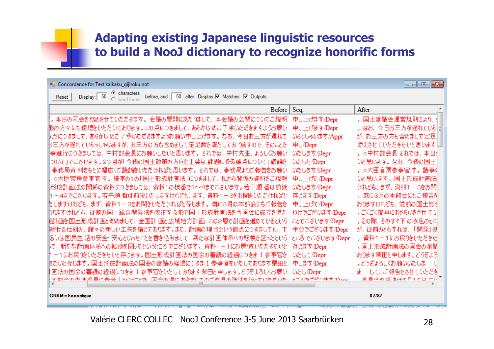#### <sup>D</sup> Concordance for Text kaikaku\_gijiroku.not

#### $\Box$ e $\mathbf{x}$

Display: 50 C characters before and 50 after Display:  $\boxed{9}$  Matches  $\boxed{9}$  Outputs Reset

| Before                                               | Seq.            | After               |
|------------------------------------------------------|-----------------|---------------------|
| 。本日の司会を務めさせていただきます。会議の冒頭にあたりまして、本会議の公開についてご説明        | 申し上げます/Depr     | 。国土審議会運営規則により、      |
| 股の方々 にも傍聴をいただいております。この点につきまして、 あらかじ めご了 承いただきますようお願い | 申し上げます/Depr     | 。なお、今日お三方が遅れてい引言    |
| )点につきまして、あらかじ めご了 承いただきますようお願い申し上げます。 なお、 今日お三方が遅れて  | いらっしゃいます/Appr   | が、お三方の方も含めまして定足     |
| 5三方が遅れていらっしゃいますが、お三方の方も含めまして定足数を満たしておりますので、そのことを     | 申し/Depr         | 添えさせていただきたいと思います。   |
| 事進行につきましては、中村部会長にお願いしたいと思います。 それでは、 中村先生、 よろしくお願い    | いたします/Depr      | 。○中村部会長それでは、本日(     |
| :ついて」でございます。2つ目が「今後の国土政策の方向と主要な 課題に係る論点について」議論を      | いたした/Depr       | いと思います。なお、今後の国土     |
| 事務局資 料をもとに幅広くご議論をいただければと思います。 それでは、 事務局よりご報告をお願い     | いたします/Depr      | 。○大臣官房参事官す。議事6      |
| ○大臣官房参事官 す。 議事の1の「国土形成計画法」につきまして、 私から関係の資料をご説明       | 申し上げた/Depr      | いと思います。国土形成計画法      |
| 形成計画法の関係の資料につきましては、資料1の枝番で1~4までございます。若干順 番は前後        | いたします/Depr      | けれども、まず、 資料1 - 3をお開 |
| 1〜4までございます。 若干順 番は前後いたしますけれども、まず、 資料1-3をお開きいただければと   | 存じます/Depr       | 。既に3月の本部会にもご報告を     |
| たしますけれども、まず、 資料1 - 3をお開きいただければと存じます。 既に3月の本部会にもご報告を  | 申し上げて/Depr      | おりますけれども、 従前の国土総行   |
| 5りますけれども、 従前の国土総合開発法を改正する形で国土形成計画法を今国会に成立を見た         | わけでございます/Depr   | 。ごくごく簡単におさらいをさせ てい  |
| ∦計画を国土形成計画と改めまして、 全国計 画と広域地方計画、この2層で計画を進めているという      | ことでございます/Depr   | 。その際、そのすぐ下の水色のとこ    |
| 快させる仕組み、 諸々の新しい工夫を講じております。また、 計画の理 念という観点につきましても、 下  | 半分でございます/Depr   | が、従前のともすれば、「開発」基    |
| るいは国民生 活の安全・安心といったことを書き込みまして、 新たな計画体系への転換を図ったという     | ところ でございます/Depr | 。資料1-1にお戻りをいただきた    |
| 「て、新たな計画体系への転換を図ったというところでございます。 資料1-1にお戻りをいただきたいと    | 存じます/Depr       | 。国土形成計画法の国会の審議      |
| Ⅱ-1にお戻りをいただきたいと存じます。国土形成計画法の国会の審議の経過につきま1参事官を        | いたして/Depr       | おります栗田と申します。どうぞよろ   |
| きたいと存じます。国土形成計画法の国会の審議の経過につきま 1 参事官をいたしております栗田と      | 申します/Depr       | 。どうぞよろしくお願いいたしま     |
| *画法の国会の審議の経過につきま 1 参事官をいたしております栗田と申します。どうぞよろしくお願い    | いたし/Depr        | ま して、ご報告をさせていただき    |
| をいらっとか 「司令の坦に おきましてのご音 目の随途を行っていただいた<br>无如今不杰地禾昌广矣老夫 | アニスカゴダハキオ 心気み   | 禾昌今不極独住高日10日 仁須     |
|                                                      |                 |                     |

**GRAM** = honorifique

87/87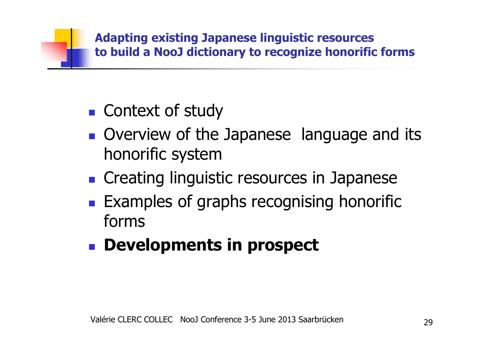

- $\mathbb{R}^n$ ■ Context of study
- $\mathbb{R}^n$ **Overview of the Japanese language and its** honorific system
- $\blacksquare$  Creating lingui **n** Creating linguistic resources in Japanese
- $\mathbb{R}^n$ **Examples of graphs recognising honorific** forms
- $\mathbb{R}^n$ **Developments in prospect**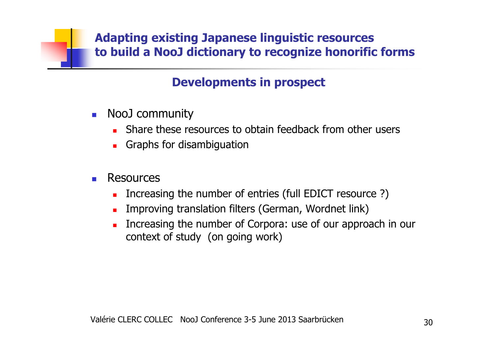### **Developments in prospect**

- NooJ community<br>Share these res
	- **Share these resources to obtain feedback from other users**
	- **Graphs for disambiguation**
- П Resources
	- **Increasing the number of entries (full EDICT resource ?)**
	- Improving translation filters (German, Wordnet link)
	- **Increasing the number of Corpora: use of our approach in our** context of study (on going work)